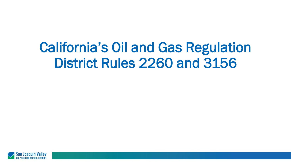# California's Oil and Gas Regulation District Rules 2260 and 3156

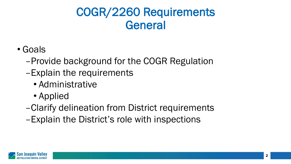### COGR/2260 Requirements General

- Goals
	- –Provide background for the COGR Regulation
	- –Explain the requirements
		- Administrative
		- Applied
	- –Clarify delineation from District requirements
	- –Explain the District's role with inspections

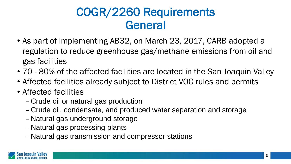### COGR/2260 Requirements General

- As part of implementing AB32, on March 23, 2017, CARB adopted a regulation to reduce greenhouse gas/methane emissions from oil and gas facilities
- 70 80% of the affected facilities are located in the San Joaquin Valley
- Affected facilities already subject to District VOC rules and permits
- Affected facilities
	- Crude oil or natural gas production
	- Crude oil, condensate, and produced water separation and storage
	- Natural gas underground storage
	- Natural gas processing plants
	- Natural gas transmission and compressor stations

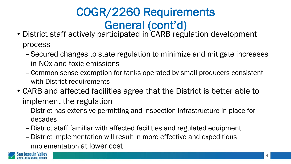# COGR/2260 Requirements General (cont'd)

- District staff actively participated in CARB regulation development process
	- –Secured changes to state regulation to minimize and mitigate increases in NOx and toxic emissions
	- Common sense exemption for tanks operated by small producers consistent with District requirements
- CARB and affected facilities agree that the District is better able to implement the regulation
	- District has extensive permitting and inspection infrastructure in place for decades
	- District staff familiar with affected facilities and regulated equipment
	- District implementation will result in more effective and expeditious implementation at lower cost

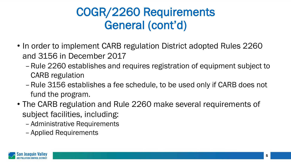# COGR/2260 Requirements General (cont'd)

- In order to implement CARB regulation District adopted Rules 2260 and 3156 in December 2017
	- –Rule 2260 establishes and requires registration of equipment subject to CARB regulation
	- –Rule 3156 establishes a fee schedule, to be used only if CARB does not fund the program.
- The CARB regulation and Rule 2260 make several requirements of subject facilities, including:
	- Administrative Requirements
	- Applied Requirements

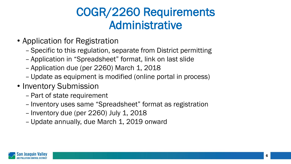### COGR/2260 Requirements Administrative

- Application for Registration
	- Specific to this regulation, separate from District permitting
	- Application in "Spreadsheet" format, link on last slide
	- Application due (per 2260) March 1, 2018
	- Update as equipment is modified (online portal in process)
- Inventory Submission
	- Part of state requirement
	- Inventory uses same "Spreadsheet" format as registration
	- Inventory due (per 2260) July 1, 2018
	- Update annually, due March 1, 2019 onward

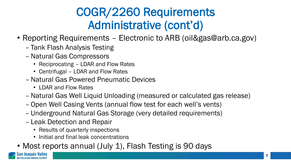# COGR/2260 Requirements Administrative (cont'd)

- Reporting Requirements Electronic to ARB (oil&gas@arb.ca.gov)
	- Tank Flash Analysis Testing
	- –Natural Gas Compressors
		- Reciprocating LDAR and Flow Rates
		- Centrifugal LDAR and Flow Rates
	- –Natural Gas Powered Pneumatic Devices
		- LDAR and Flow Rates
	- –Natural Gas Well Liquid Unloading (measured or calculated gas release)
	- Open Well Casing Vents (annual flow test for each well's vents)
	- Underground Natural Gas Storage (very detailed requirements)
	- Leak Detection and Repair
		- Results of quarterly inspections
		- Initial and final leak concentrations
- Most reports annual (July 1), Flash Testing is 90 days

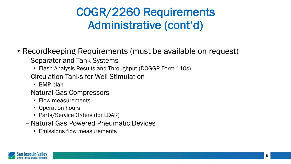# COGR/2260 Requirements Administrative (cont'd)

- Recordkeeping Requirements (must be available on request)
	- Separator and Tank Systems
		- Flash Analysis Results and Throughput (DOGGR Form 110s)
	- Circulation Tanks for Well Stimulation
		- BMP plan
	- –Natural Gas Compressors
		- Flow measurements
		- Operation hours
		- Parts/Service Orders (for LDAR)
	- –Natural Gas Powered Pneumatic Devices
		- Emissions flow measurements

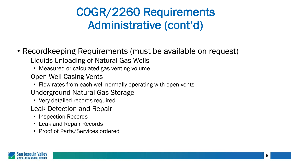# COGR/2260 Requirements Administrative (cont'd)

- Recordkeeping Requirements (must be available on request)
	- Liquids Unloading of Natural Gas Wells
		- Measured or calculated gas venting volume
	- Open Well Casing Vents
		- Flow rates from each well normally operating with open vents
	- Underground Natural Gas Storage
		- Very detailed records required
	- Leak Detection and Repair
		- Inspection Records
		- Leak and Repair Records
		- Proof of Parts/Services ordered

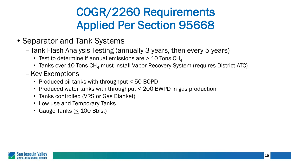# COGR/2260 Requirements Applied Per Section 95668

- Separator and Tank Systems
	- Tank Flash Analysis Testing (annually 3 years, then every 5 years)
		- Test to determine if annual emissions are  $> 10$  Tons CH<sub>4</sub>
		- Tanks over 10 Tons  $CH<sub>4</sub>$  must install Vapor Recovery System (requires District ATC)
	- Key Exemptions
		- Produced oil tanks with throughput < 50 BOPD
		- Produced water tanks with throughput < 200 BWPD in gas production
		- Tanks controlled (VRS or Gas Blanket)
		- Low use and Temporary Tanks
		- Gauge Tanks  $( \leq 100$  Bbls.)

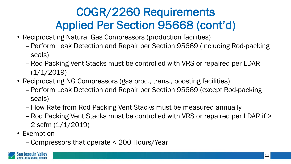- Reciprocating Natural Gas Compressors (production facilities)
	- Perform Leak Detection and Repair per Section 95669 (including Rod-packing seals)
	- Rod Packing Vent Stacks must be controlled with VRS or repaired per LDAR  $(1/1/2019)$
- Reciprocating NG Compressors (gas proc., trans., boosting facilities)
	- Perform Leak Detection and Repair per Section 95669 (except Rod-packing seals)
	- Flow Rate from Rod Packing Vent Stacks must be measured annually
	- Rod Packing Vent Stacks must be controlled with VRS or repaired per LDAR if > 2 scfm (1/1/2019)
- Exemption
	- Compressors that operate < 200 Hours/Year

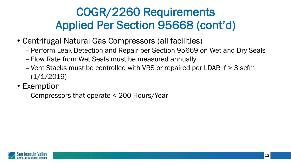- Centrifugal Natural Gas Compressors (all facilities)
	- Perform Leak Detection and Repair per Section 95669 on Wet and Dry Seals
	- Flow Rate from Wet Seals must be measured annually
	- Vent Stacks must be controlled with VRS or repaired per LDAR if > 3 scfm  $(1/1/2019)$
- Exemption
	- Compressors that operate < 200 Hours/Year

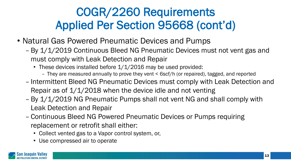- Natural Gas Powered Pneumatic Devices and Pumps
	- By 1/1/2019 Continuous Bleed NG Pneumatic Devices must not vent gas and must comply with Leak Detection and Repair
		- These devices installed before 1/1/2016 may be used provided:
			- They are measured annually to prove they vent < 6scf/h (or repaired), tagged, and reported
	- Intermittent Bleed NG Pneumatic Devices must comply with Leak Detection and Repair as of  $1/1/2018$  when the device idle and not venting
	- By 1/1/2019 NG Pneumatic Pumps shall not vent NG and shall comply with Leak Detection and Repair
	- Continuous Bleed NG Powered Pneumatic Devices or Pumps requiring replacement or retrofit shall either:
		- Collect vented gas to a Vapor control system, or,
		- Use compressed air to operate

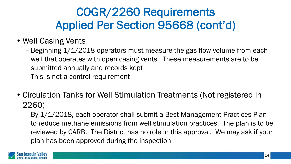- Well Casing Vents
	- Beginning 1/1/2018 operators must measure the gas flow volume from each well that operates with open casing vents. These measurements are to be submitted annually and records kept
	- This is not a control requirement
- Circulation Tanks for Well Stimulation Treatments (Not registered in 2260)
	- By 1/1/2018, each operator shall submit a Best Management Practices Plan to reduce methane emissions from well stimulation practices. The plan is to be reviewed by CARB. The District has no role in this approval. We may ask if your plan has been approved during the inspection

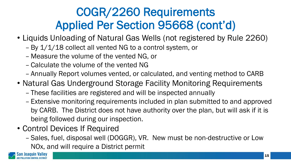- Liquids Unloading of Natural Gas Wells (not registered by Rule 2260)
	- By 1/1/18 collect all vented NG to a control system, or
	- Measure the volume of the vented NG, or
	- Calculate the volume of the vented NG
	- Annually Report volumes vented, or calculated, and venting method to CARB
- Natural Gas Underground Storage Facility Monitoring Requirements
	- These facilities are registered and will be inspected annually
	- Extensive monitoring requirements included in plan submitted to and approved by CARB. The District does not have authority over the plan, but will ask if it is being followed during our inspection.
- Control Devices If Required
	- Sales, fuel, disposal well (DOGGR), VR. New must be non-destructive or Low NOx, and will require a District permit

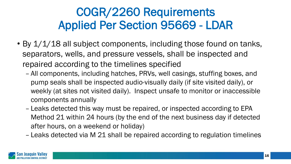- By 1/1/18 all subject components, including those found on tanks, separators, wells, and pressure vessels, shall be inspected and repaired according to the timelines specified
	- All components, including hatches, PRVs, well casings, stuffing boxes, and pump seals shall be inspected audio-visually daily (if site visited daily), or weekly (at sites not visited daily). Inspect unsafe to monitor or inaccessible components annually
	- Leaks detected this way must be repaired, or inspected according to EPA Method 21 within 24 hours (by the end of the next business day if detected after hours, on a weekend or holiday)
	- Leaks detected via M 21 shall be repaired according to regulation timelines

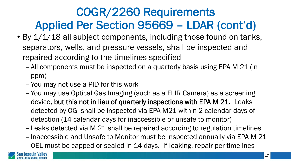- By 1/1/18 all subject components, including those found on tanks, separators, wells, and pressure vessels, shall be inspected and repaired according to the timelines specified
	- All components must be inspected on a quarterly basis using EPA M 21 (in ppm)
	- You may not use a PID for this work
	- You may use Optical Gas Imaging (such as a FLIR Camera) as a screening device, but this not in lieu of quarterly inspections with EPA M 21. Leaks detected by OGI shall be inspected via EPA M21 within 2 calendar days of detection (14 calendar days for inaccessible or unsafe to monitor)
	- Leaks detected via M 21 shall be repaired according to regulation timelines – Inaccessible and Unsafe to Monitor must be inspected annually via EPA M 21
	- OEL must be capped or sealed in 14 days. If leaking, repair per timelines

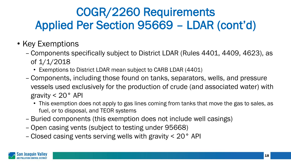- Key Exemptions
	- Components specifically subject to District LDAR (Rules 4401, 4409, 4623), as of 1/1/2018
		- Exemptions to District LDAR mean subject to CARB LDAR (4401)
	- Components, including those found on tanks, separators, wells, and pressure vessels used exclusively for the production of crude (and associated water) with gravity < 20° API
		- This exemption does not apply to gas lines coming from tanks that move the gas to sales, as fuel, or to disposal, and TEOR systems
	- Buried components (this exemption does not include well casings)
	- Open casing vents (subject to testing under 95668)
	- Closed casing vents serving wells with gravity < 20° API

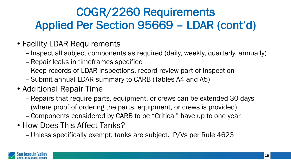- Facility LDAR Requirements
	- Inspect all subject components as required (daily, weekly, quarterly, annually)
	- Repair leaks in timeframes specified
	- Keep records of LDAR inspections, record review part of inspection
	- Submit annual LDAR summary to CARB (Tables A4 and A5)
- Additional Repair Time
	- Repairs that require parts, equipment, or crews can be extended 30 days (where proof of ordering the parts, equipment, or crews is provided)
	- Components considered by CARB to be "Critical" have up to one year
- How Does This Affect Tanks?
	- Unless specifically exempt, tanks are subject. P/Vs per Rule 4623

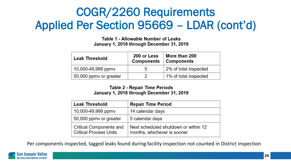Table 1 - Allowable Number of Leaks January 1, 2018 through December 31, 2019

| <b>Leak Threshold</b>  | 200 or Less<br><b>Components</b> | More than 200<br><b>Components</b> |
|------------------------|----------------------------------|------------------------------------|
| 10,000-49,999 ppmy     | 5                                | 2% of total inspected              |
| 50,000 ppmy or greater |                                  | 1% of total inspected              |

#### **Table 2 - Repair Time Periods** January 1, 2018 through December 31, 2019

| Leak Threshold                                                  | <b>Repair Time Period</b>                                           |
|-----------------------------------------------------------------|---------------------------------------------------------------------|
| 10,000-49,999 ppmy                                              | 14 calendar days                                                    |
| 50,000 ppmy or greater                                          | 5 calendar days                                                     |
| <b>Critical Components and</b><br><b>Critical Process Units</b> | Next scheduled shutdown or within 12<br>months, whichever is sooner |

Per components inspected, tagged leaks found during facility inspection not counted in District inspection

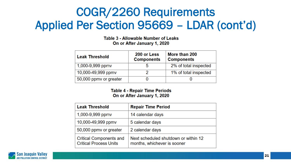Table 3 - Allowable Number of Leaks On or After January 1, 2020

| <b>Leak Threshold</b>  | 200 or Less<br><b>Components</b> | More than 200<br><b>Components</b> |
|------------------------|----------------------------------|------------------------------------|
| 1,000-9,999 ppmv       | b                                | 2% of total inspected              |
| 10,000-49,999 ppmv     |                                  | 1% of total inspected              |
| 50,000 ppmy or greater |                                  |                                    |

#### **Table 4 - Repair Time Periods** On or After January 1, 2020

| <b>Leak Threshold</b>                                           | <b>Repair Time Period</b>                                           |
|-----------------------------------------------------------------|---------------------------------------------------------------------|
| 1,000-9,999 ppmv                                                | 14 calendar days                                                    |
| 10,000-49,999 ppmy                                              | 5 calendar days                                                     |
| 50,000 ppmy or greater                                          | 2 calendar days                                                     |
| <b>Critical Components and</b><br><b>Critical Process Units</b> | Next scheduled shutdown or within 12<br>months, whichever is sooner |

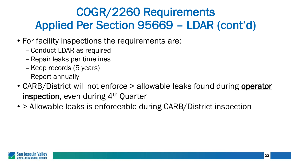- For facility inspections the requirements are:
	- Conduct LDAR as required
	- Repair leaks per timelines
	- Keep records (5 years)
	- Report annually
- CARB/District will not enforce > allowable leaks found during operator inspection, even during 4<sup>th</sup> Quarter
- > Allowable leaks is enforceable during CARB/District inspection

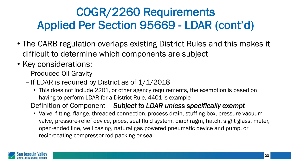- The CARB regulation overlaps existing District Rules and this makes it difficult to determine which components are subject
- Key considerations:
	- Produced Oil Gravity
	- If LDAR is required by District as of  $1/1/2018$ 
		- This does not include 2201, or other agency requirements, the exemption is based on having to perform LDAR for a District Rule, 4401 is example
	- Definition of Component *Subject to LDAR unless specifically exempt*
		- Valve, fitting, flange, threaded-connection, process drain, stuffing box, pressure-vacuum valve, pressure-relief device, pipes, seal fluid system, diaphragm, hatch, sight glass, meter, open-ended line, well casing, natural gas powered pneumatic device and pump, or reciprocating compressor rod packing or seal

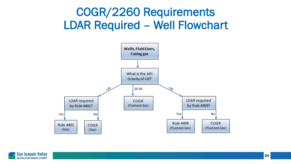### COGR/2260 Requirements LDAR Required – Well Flowchart



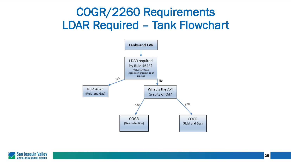### COGR/2260 Requirements LDAR Required – Tank Flowchart



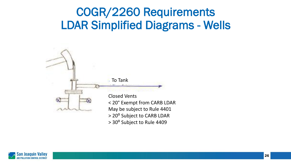

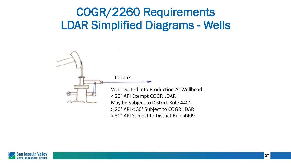

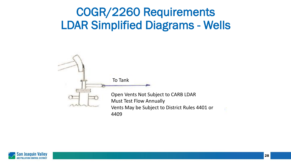

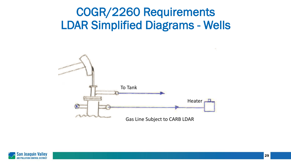

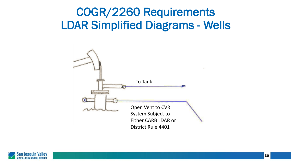

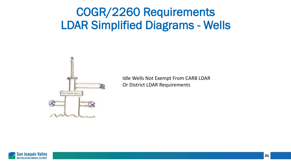

Idle Wells Not Exempt From CARB LDAR Or District LDAR Requirements

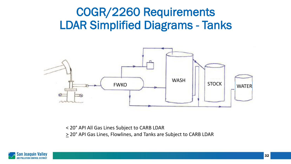

< 20° API All Gas Lines Subject to CARB LDAR > 20° API Gas Lines, Flowlines, and Tanks are Subject to CARB LDAR

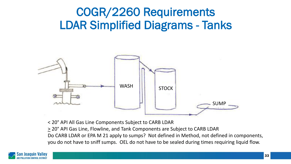

< 20° API All Gas Line Components Subject to CARB LDAR

> 20° API Gas Line, Flowline, and Tank Components are Subject to CARB LDAR Do CARB LDAR or EPA M 21 apply to sumps? Not defined in Method, not defined in components, you do not have to sniff sumps. OEL do not have to be sealed during times requiring liquid flow.

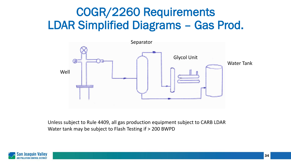### COGR/2260 Requirements LDAR Simplified Diagrams – Gas Prod.



Unless subject to Rule 4409, all gas production equipment subject to CARB LDAR Water tank may be subject to Flash Testing if > 200 BWPD

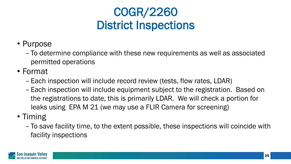# COGR/2260 District Inspections

- Purpose
	- To determine compliance with these new requirements as well as associated permitted operations
- Format
	- Each inspection will include record review (tests, flow rates, LDAR)
	- Each inspection will include equipment subject to the registration. Based on the registrations to date, this is primarily LDAR. We will check a portion for leaks using EPA M 21 (we may use a FLIR Camera for screening)
- Timing
	- To save facility time, to the extent possible, these inspections will coincide with facility inspections